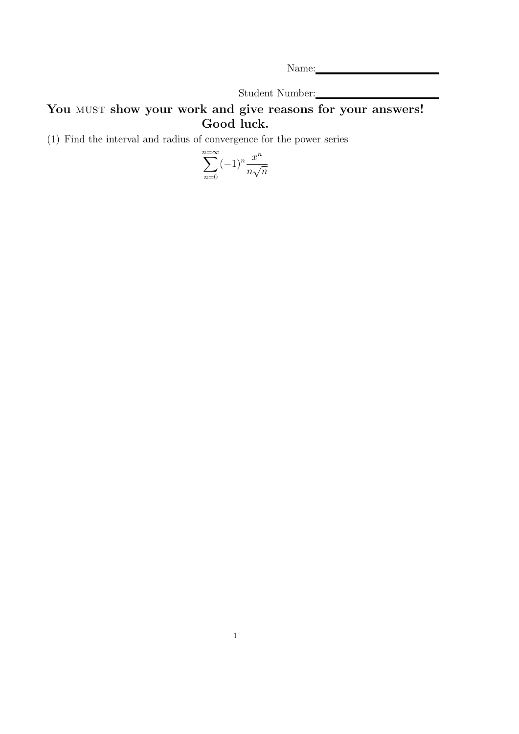Name: Name and the set of the set of the set of the set of the set of the set of the set of the set of the set of the set of the set of the set of the set of the set of the set of the set of the set of the set of the set o

Student Number:

## You MUST show your work and give reasons for your answers! Good luck.

(1) Find the interval and radius of convergence for the power series

$$
\sum_{n=0}^{n=\infty} (-1)^n \frac{x^n}{n\sqrt{n}}
$$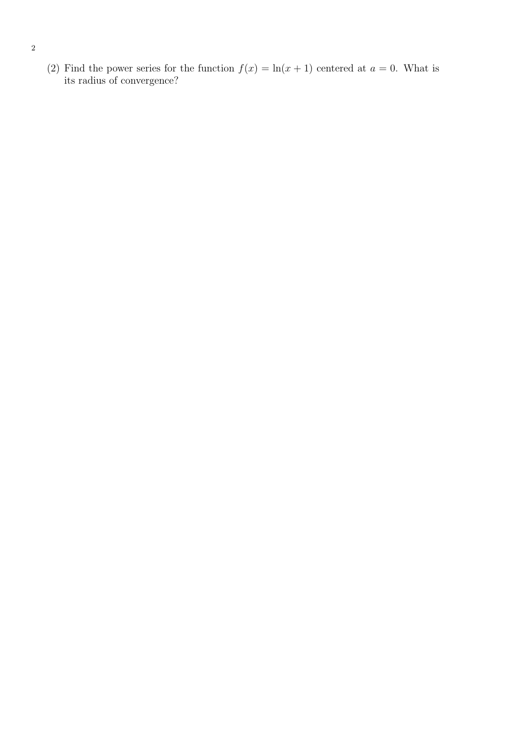(2) Find the power series for the function  $f(x) = \ln(x + 1)$  centered at  $a = 0$ . What is its radius of convergence?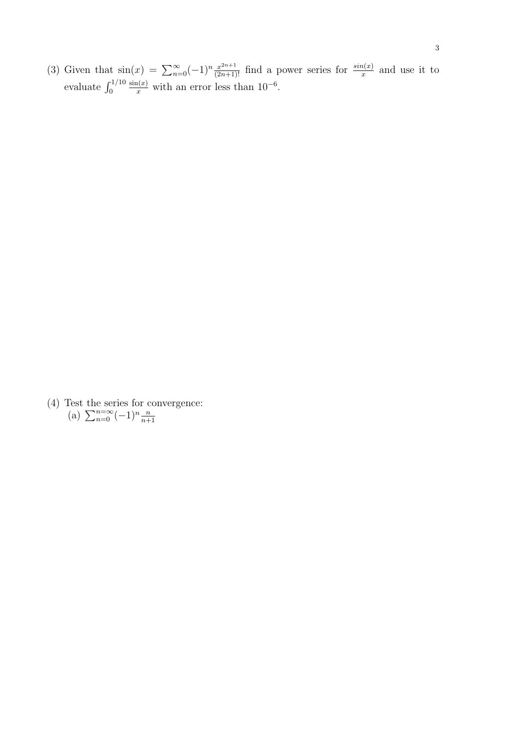(3) Given that  $sin(x) = \sum_{n=0}^{\infty} (-1)^n \frac{x^{2n+1}}{(2n+1)!}$  find a power series for  $\frac{sin(x)}{x}$  and use it to evaluate  $\int_0^{1/10}$  $\frac{\sin(x)}{x}$  with an error less than 10<sup>-6</sup>.

(4) Test the series for convergence: (a)  $\sum_{n=0}^{n=\infty} (-1)^n \frac{n}{n+1}$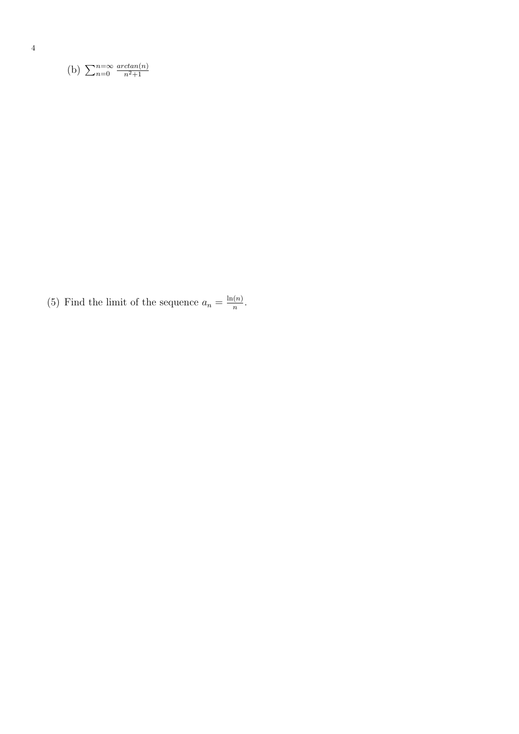(b) 
$$
\sum_{n=0}^{n=\infty} \frac{\arctan(n)}{n^2+1}
$$

(5) Find the limit of the sequence  $a_n = \frac{\ln(n)}{n}$  $\frac{(n)}{n}$ .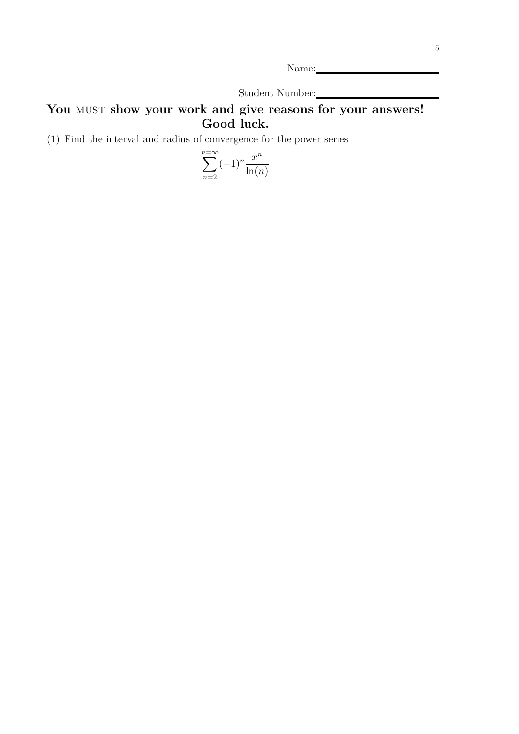Name:

Student Number:

## You MUST show your work and give reasons for your answers! Good luck.

(1) Find the interval and radius of convergence for the power series

$$
\sum_{n=2}^{n=\infty} (-1)^n \frac{x^n}{\ln(n)}
$$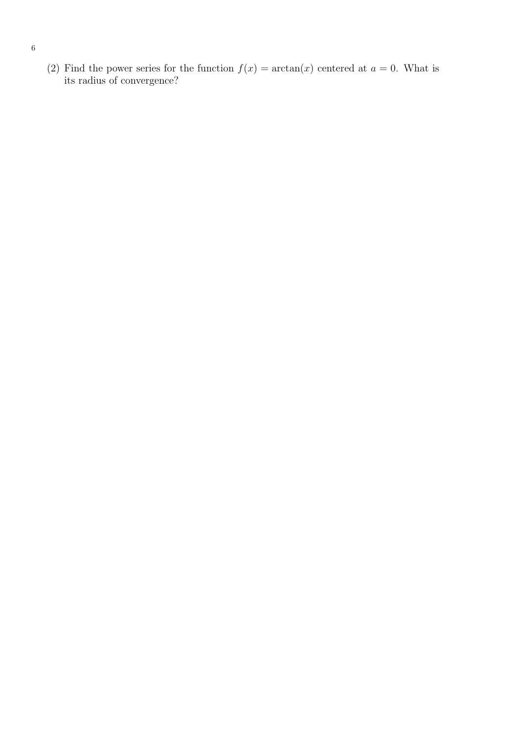(2) Find the power series for the function  $f(x) = \arctan(x)$  centered at  $a = 0$ . What is its radius of convergence?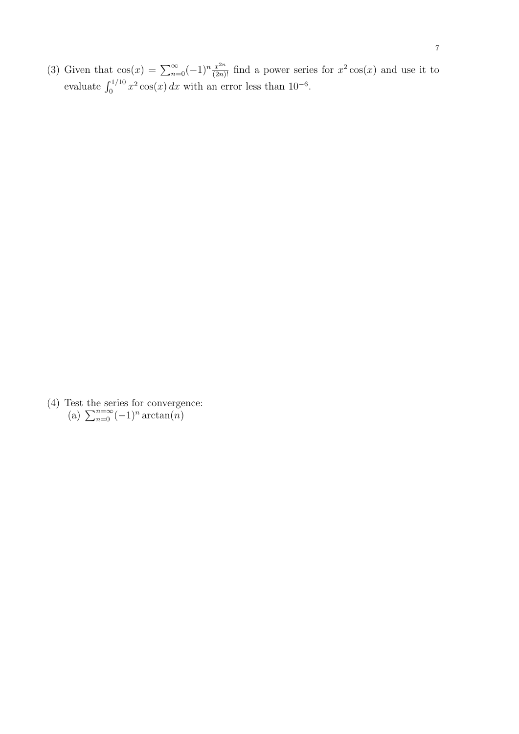(3) Given that  $\cos(x) = \sum_{n=0}^{\infty} (-1)^n \frac{x^{2n}}{(2n)!}$  find a power series for  $x^2 \cos(x)$  and use it to evaluate  $\int_0^{1/10} x^2 \cos(x) dx$  with an error less than 10<sup>-6</sup>.

(4) Test the series for convergence: (a)  $\sum_{n=0}^{n=\infty} (-1)^n \arctan(n)$